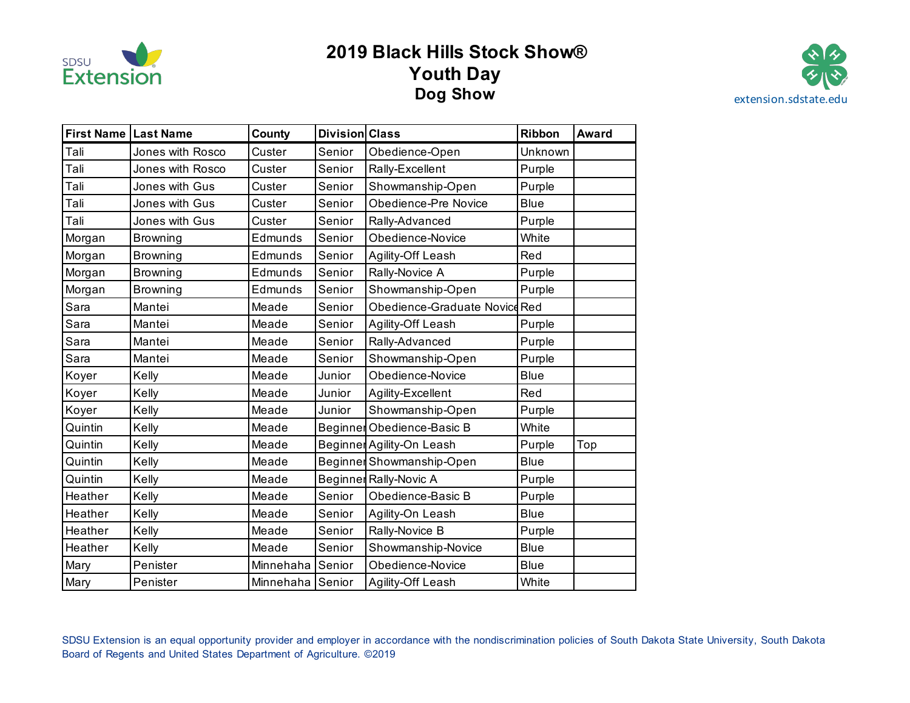

## **2019 Black Hills Stock Show® Youth Day Dog Show** [extension.sdstate.edu](https://extension.sdstate.edu)



| First Name   Last Name |                  | County           | Division Class |                               | Ribbon      | <b>Award</b> |
|------------------------|------------------|------------------|----------------|-------------------------------|-------------|--------------|
| Tali                   | Jones with Rosco | Custer           | Senior         | Obedience-Open                | Unknown     |              |
| Tali                   | Jones with Rosco | Custer           | Senior         | Rally-Excellent               | Purple      |              |
| Tali                   | Jones with Gus   | Custer           | Senior         | Showmanship-Open              | Purple      |              |
| Tali                   | Jones with Gus   | Custer           | Senior         | Obedience-Pre Novice          | <b>Blue</b> |              |
| Tali                   | Jones with Gus   | Custer           | Senior         | Rally-Advanced                | Purple      |              |
| Morgan                 | <b>Browning</b>  | Edmunds          | Senior         | Obedience-Novice              | White       |              |
| Morgan                 | <b>Browning</b>  | Edmunds          | Senior         | Agility-Off Leash             | Red         |              |
| Morgan                 | <b>Browning</b>  | Edmunds          | Senior         | Rally-Novice A                | Purple      |              |
| Morgan                 | <b>Browning</b>  | Edmunds          | Senior         | Showmanship-Open              | Purple      |              |
| Sara                   | Mantei           | Meade            | Senior         | Obedience-Graduate Novice Red |             |              |
| Sara                   | Mantei           | Meade            | Senior         | Agility-Off Leash             | Purple      |              |
| Sara                   | Mantei           | Meade            | Senior         | Rally-Advanced                | Purple      |              |
| Sara                   | Mantei           | Meade            | Senior         | Showmanship-Open              | Purple      |              |
| Koyer                  | Kelly            | Meade            | Junior         | Obedience-Novice              | <b>Blue</b> |              |
| Koyer                  | Kelly            | Meade            | Junior         | Agility-Excellent             | Red         |              |
| Koyer                  | Kelly            | Meade            | Junior         | Showmanship-Open              | Purple      |              |
| Quintin                | Kelly            | Meade            |                | Beginner Obedience-Basic B    | White       |              |
| Quintin                | Kelly            | Meade            |                | Beginner Agility-On Leash     | Purple      | Top          |
| Quintin                | Kelly            | Meade            |                | Beginner Showmanship-Open     | <b>Blue</b> |              |
| Quintin                | Kelly            | Meade            |                | Beginner Rally-Novic A        | Purple      |              |
| Heather                | Kelly            | Meade            | Senior         | Obedience-Basic B             | Purple      |              |
| Heather                | Kelly            | Meade            | Senior         | Agility-On Leash              | <b>Blue</b> |              |
| Heather                | Kelly            | Meade            | Senior         | Rally-Novice B                | Purple      |              |
| Heather                | Kelly            | Meade            | Senior         | Showmanship-Novice            | <b>Blue</b> |              |
| Mary                   | Penister         | Minnehaha        | Senior         | Obedience-Novice              | <b>Blue</b> |              |
| Mary                   | Penister         | Minnehaha Senior |                | Agility-Off Leash             | White       |              |

 SDSU Extension is an equal opportunity provider and employer in accordance with the nondiscrimination policies of South Dakota State University, South Dakota Board of Regents and United States Department of Agriculture. ©2019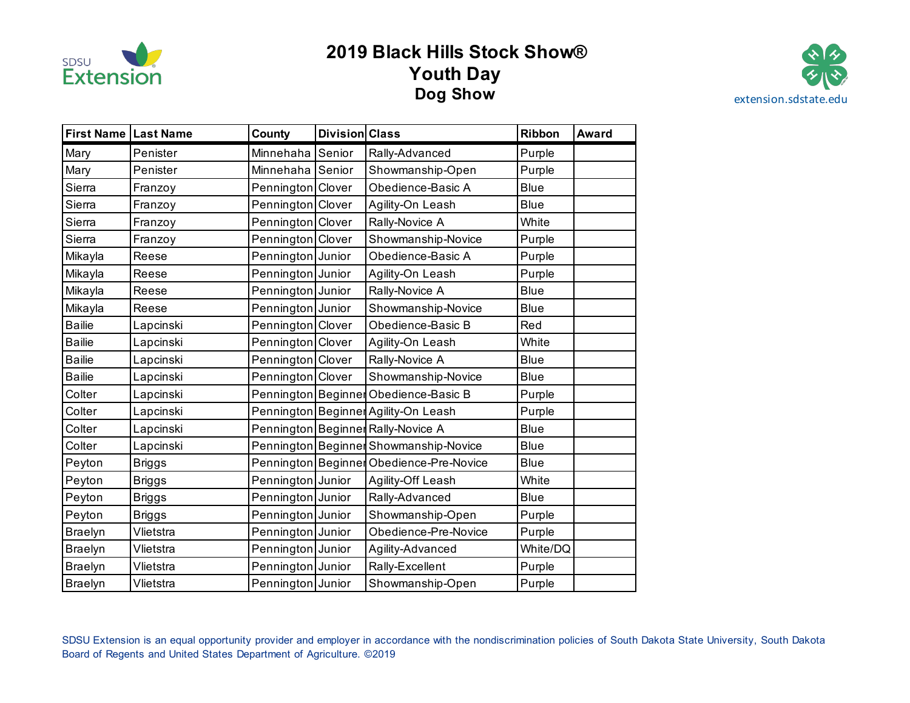

## **2019 Black Hills Stock Show® Youth Day Dog Show** [extension.sdstate.edu](https://extension.sdstate.edu)



| First Name   Last Name |               | County            | <b>Division Class</b> |                                          | Ribbon      | <b>Award</b> |
|------------------------|---------------|-------------------|-----------------------|------------------------------------------|-------------|--------------|
| Mary                   | Penister      | Minnehaha         | Senior                | Rally-Advanced                           | Purple      |              |
| Mary                   | Penister      | Minnehaha         | Senior                | Showmanship-Open                         | Purple      |              |
| Sierra                 | Franzoy       | Pennington Clover |                       | Obedience-Basic A                        | <b>Blue</b> |              |
| Sierra                 | Franzoy       | Pennington Clover |                       | Agility-On Leash                         | <b>Blue</b> |              |
| Sierra                 | Franzoy       | Pennington Clover |                       | Rally-Novice A                           | White       |              |
| Sierra                 | Franzoy       | Pennington Clover |                       | Showmanship-Novice                       | Purple      |              |
| Mikayla                | Reese         | Pennington Junior |                       | Obedience-Basic A                        | Purple      |              |
| Mikayla                | Reese         | Pennington Junior |                       | Agility-On Leash                         | Purple      |              |
| Mikayla                | Reese         | Pennington Junior |                       | Rally-Novice A                           | <b>Blue</b> |              |
| Mikayla                | Reese         | Pennington Junior |                       | Showmanship-Novice                       | <b>Blue</b> |              |
| <b>Bailie</b>          | Lapcinski     | Pennington Clover |                       | Obedience-Basic B                        | Red         |              |
| <b>Bailie</b>          | Lapcinski     | Pennington Clover |                       | Agility-On Leash                         | White       |              |
| <b>Bailie</b>          | Lapcinski     | Pennington Clover |                       | Rally-Novice A                           | <b>Blue</b> |              |
| <b>Bailie</b>          | Lapcinski     | Pennington Clover |                       | Showmanship-Novice                       | <b>Blue</b> |              |
| Colter                 | Lapcinski     |                   |                       | Pennington Beginner Obedience-Basic B    | Purple      |              |
| Colter                 | Lapcinski     |                   |                       | Pennington Beginner Agility-On Leash     | Purple      |              |
| Colter                 | Lapcinski     |                   |                       | Pennington Beginner Rally-Novice A       | <b>Blue</b> |              |
| Colter                 | Lapcinski     |                   |                       | Pennington Beginner Showmanship-Novice   | <b>Blue</b> |              |
| Peyton                 | <b>Briggs</b> |                   |                       | Pennington Beginner Obedience-Pre-Novice | <b>Blue</b> |              |
| Peyton                 | <b>Briggs</b> | Pennington Junior |                       | Agility-Off Leash                        | White       |              |
| Peyton                 | <b>Briggs</b> | Pennington Junior |                       | Rally-Advanced                           | <b>Blue</b> |              |
| Peyton                 | <b>Briggs</b> | Pennington Junior |                       | Showmanship-Open                         | Purple      |              |
| <b>Braelyn</b>         | Vlietstra     | Pennington Junior |                       | Obedience-Pre-Novice                     | Purple      |              |
| <b>Braelyn</b>         | Vlietstra     | Pennington Junior |                       | Agility-Advanced                         | White/DQ    |              |
| <b>Braelyn</b>         | Vlietstra     | Pennington Junior |                       | Rally-Excellent                          | Purple      |              |
| <b>Braelyn</b>         | Vlietstra     | Pennington Junior |                       | Showmanship-Open                         | Purple      |              |

 SDSU Extension is an equal opportunity provider and employer in accordance with the nondiscrimination policies of South Dakota State University, South Dakota Board of Regents and United States Department of Agriculture. ©2019